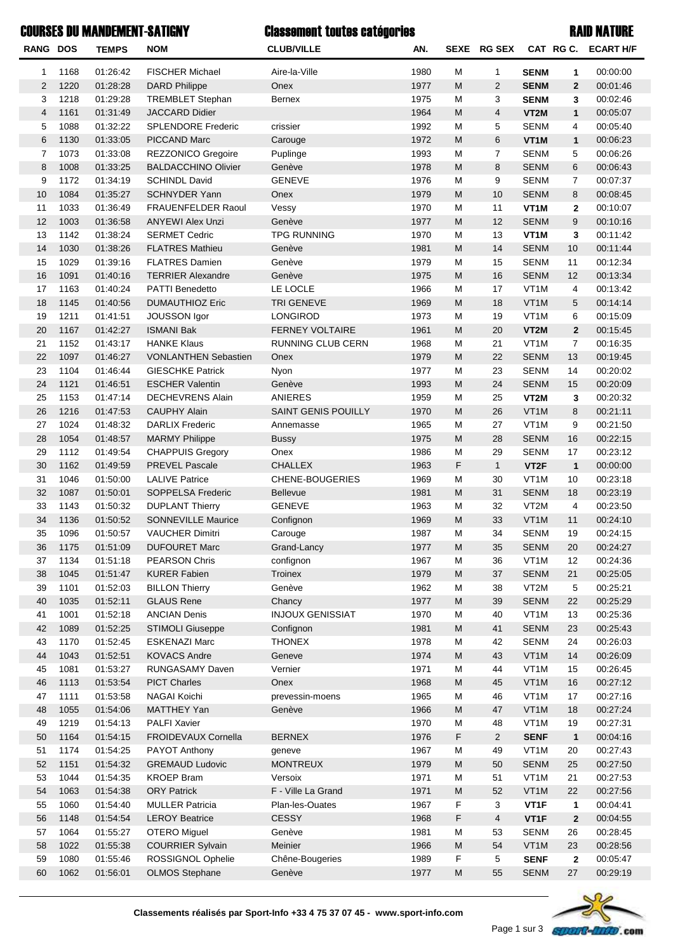## COURSES DU MANDEMENT-SATIGNY Classement toutes catégories and the courses of the RAID NATURE

| RANG DOS       |              | <b>TEMPS</b>         | <b>NOM</b>                              | <b>CLUB/VILLE</b>                                  | AN.          |           | SEXE RG SEX    |                           |                      | CAT RG C. ECART H/F  |
|----------------|--------------|----------------------|-----------------------------------------|----------------------------------------------------|--------------|-----------|----------------|---------------------------|----------------------|----------------------|
| 1              | 1168         | 01:26:42             | <b>FISCHER Michael</b>                  | Aire-la-Ville                                      | 1980         | M         | $\mathbf{1}$   | <b>SENM</b>               | 1                    | 00:00:00             |
| $\overline{2}$ | 1220         | 01:28:28             | <b>DARD Philippe</b>                    | Onex                                               | 1977         | M         | 2              | <b>SENM</b>               | $\overline{2}$       | 00:01:46             |
| 3              | 1218         | 01:29:28             | <b>TREMBLET Stephan</b>                 | <b>Bernex</b>                                      | 1975         | M         | 3              | <b>SENM</b>               | 3                    | 00:02:46             |
| $\overline{4}$ | 1161         | 01:31:49             | <b>JACCARD Didier</b>                   |                                                    | 1964         | M         | $\overline{4}$ | VT2M                      | $\mathbf{1}$         | 00:05:07             |
| 5              | 1088         | 01:32:22             | <b>SPLENDORE Frederic</b>               | crissier                                           | 1992         | M         | 5              | <b>SENM</b>               | 4                    | 00:05:40             |
| 6              | 1130         | 01:33:05             | PICCAND Marc                            | Carouge                                            | 1972         | M         | 6              | VT1M                      | $\mathbf{1}$         | 00:06:23             |
| $\overline{7}$ | 1073         | 01:33:08             | <b>REZZONICO Gregoire</b>               | Puplinge                                           | 1993         | M         | $\overline{7}$ | <b>SENM</b>               | 5                    | 00:06:26             |
| 8              | 1008         | 01:33:25             | <b>BALDACCHINO Olivier</b>              | Genève                                             | 1978         | M         | 8              | <b>SENM</b>               | 6                    | 00:06:43             |
| 9              | 1172         | 01:34:19             | <b>SCHINDL David</b>                    | <b>GENEVE</b>                                      | 1976         | M         | 9              | <b>SENM</b>               | 7                    | 00:07:37             |
| 10             | 1084         | 01:35:27             | <b>SCHNYDER Yann</b>                    | Onex                                               | 1979         | M         | 10             | <b>SENM</b>               | 8                    | 00:08:45             |
| 11             | 1033         | 01:36:49             | <b>FRAUENFELDER Raoul</b>               | Vessy                                              | 1970         | M         | 11             | VT <sub>1</sub> M         | $\mathbf{2}$         | 00:10:07             |
| 12             | 1003         | 01:36:58             | <b>ANYEWI Alex Unzi</b>                 | Genève                                             | 1977         | M         | 12             | <b>SENM</b>               | 9                    | 00:10:16             |
| 13             | 1142         | 01:38:24             | <b>SERMET Cedric</b>                    | <b>TPG RUNNING</b>                                 | 1970         | M         | 13             | VT <sub>1</sub> M         | 3                    | 00:11:42             |
| 14             | 1030         | 01:38:26             | <b>FLATRES Mathieu</b>                  | Genève                                             | 1981         | M         | 14             | <b>SENM</b>               | 10                   | 00:11:44             |
| 15             | 1029         | 01:39:16             | <b>FLATRES Damien</b>                   | Genève                                             | 1979         | M         | 15             | <b>SENM</b>               | 11                   | 00:12:34             |
| 16             | 1091         | 01:40:16             | <b>TERRIER Alexandre</b>                | Genève                                             | 1975         | M         | 16             | <b>SENM</b>               | 12                   | 00:13:34             |
| 17             | 1163         | 01:40:24             | <b>PATTI Benedetto</b>                  | LE LOCLE                                           | 1966         | M         | 17             | VT1M                      | 4                    | 00:13:42             |
| 18             | 1145         | 01:40:56             | <b>DUMAUTHIOZ Eric</b>                  | <b>TRI GENEVE</b>                                  | 1969         | M         | 18             | VT1M                      | 5                    | 00:14:14             |
| 19             | 1211         | 01:41:51             | <b>JOUSSON Igor</b>                     | LONGIROD                                           | 1973         | M         | 19             | VT <sub>1</sub> M         | 6                    | 00:15:09             |
| 20             | 1167         | 01:42:27             | <b>ISMANI Bak</b><br><b>HANKE Klaus</b> | <b>FERNEY VOLTAIRE</b><br><b>RUNNING CLUB CERN</b> | 1961         | M<br>M    | 20<br>21       | VT2M<br>VT <sub>1</sub> M | $\overline{2}$       | 00:15:45             |
| 21<br>22       | 1152<br>1097 | 01:43:17<br>01:46:27 | <b>VONLANTHEN Sebastien</b>             | Onex                                               | 1968<br>1979 | M         | 22             | <b>SENM</b>               | $\overline{7}$<br>13 | 00:16:35<br>00:19:45 |
| 23             | 1104         | 01:46:44             | <b>GIESCHKE Patrick</b>                 | Nyon                                               | 1977         | M         | 23             | <b>SENM</b>               | 14                   | 00:20:02             |
| 24             | 1121         | 01:46:51             | <b>ESCHER Valentin</b>                  | Genève                                             | 1993         | M         | 24             | <b>SENM</b>               | 15                   | 00:20:09             |
| 25             | 1153         | 01:47:14             | <b>DECHEVRENS Alain</b>                 | <b>ANIERES</b>                                     | 1959         | M         | 25             | VT2M                      | 3                    | 00:20:32             |
| 26             | 1216         | 01:47:53             | <b>CAUPHY Alain</b>                     | SAINT GENIS POUILLY                                | 1970         | M         | 26             | VT1M                      | 8                    | 00:21:11             |
| 27             | 1024         | 01:48:32             | <b>DARLIX Frederic</b>                  | Annemasse                                          | 1965         | M         | 27             | VT <sub>1</sub> M         | 9                    | 00:21:50             |
| 28             | 1054         | 01:48:57             | <b>MARMY Philippe</b>                   | <b>Bussy</b>                                       | 1975         | M         | 28             | <b>SENM</b>               | 16                   | 00:22:15             |
| 29             | 1112         | 01:49:54             | <b>CHAPPUIS Gregory</b>                 | Onex                                               | 1986         | M         | 29             | <b>SENM</b>               | 17                   | 00:23:12             |
| 30             | 1162         | 01:49:59             | <b>PREVEL Pascale</b>                   | <b>CHALLEX</b>                                     | 1963         | F         | $\mathbf{1}$   | VT <sub>2</sub> F         | $\mathbf{1}$         | 00:00:00             |
| 31             | 1046         | 01:50:00             | <b>LALIVE Patrice</b>                   | <b>CHENE-BOUGERIES</b>                             | 1969         | M         | 30             | VT <sub>1</sub> M         | 10                   | 00:23:18             |
| 32             | 1087         | 01:50:01             | SOPPELSA Frederic                       | Bellevue                                           | 1981         | M         | 31             | <b>SENM</b>               | 18                   | 00:23:19             |
| 33             | 1143         | 01:50:32             | <b>DUPLANT Thierry</b>                  | <b>GENEVE</b>                                      | 1963         | M         | 32             | VT2M                      | 4                    | 00:23:50             |
| 34             | 1136         | 01:50:52             | <b>SONNEVILLE Maurice</b>               | Confignon                                          | 1969         | M         | 33             | VT1M                      | 11                   | 00:24:10             |
| 35             | 1096         | 01:50:57             | <b>VAUCHER Dimitri</b>                  | Carouge                                            | 1987         | M         | 34             | <b>SENM</b>               | 19                   | 00:24:15             |
| 36             | 1175         | 01:51:09             | <b>DUFOURET Marc</b>                    | Grand-Lancy                                        | 1977         | ${\sf M}$ | 35             | <b>SENM</b>               | $20\,$               | 00:24:27             |
| 37             | 1134         | 01:51:18             | <b>PEARSON Chris</b>                    | confignon                                          | 1967         | M         | 36             | VT1M                      | 12                   | 00:24:36             |
| 38             | 1045         | 01:51:47             | <b>KURER Fabien</b>                     | <b>Troinex</b>                                     | 1979         | M         | 37             | <b>SENM</b>               | 21                   | 00:25:05             |
| 39             | 1101         | 01:52:03             | <b>BILLON Thierry</b>                   | Genève                                             | 1962         | M         | 38             | VT2M                      | 5                    | 00:25:21             |
| 40             | 1035         | 01:52:11             | <b>GLAUS Rene</b>                       | Chancy                                             | 1977         | M         | 39             | <b>SENM</b>               | 22                   | 00:25:29             |
| 41             | 1001         | 01:52:18             | <b>ANCIAN Denis</b>                     | <b>INJOUX GENISSIAT</b>                            | 1970         | M         | 40             | VT1M                      | 13                   | 00:25:36             |
| 42             | 1089         | 01:52:25             | <b>STIMOLI Giuseppe</b>                 | Confignon                                          | 1981         | M         | 41             | <b>SENM</b>               | 23                   | 00:25:43             |
| 43             | 1170         | 01:52:45             | <b>ESKENAZI Marc</b>                    | <b>THONEX</b>                                      | 1978         | M         | 42             | <b>SENM</b>               | 24                   | 00:26:03             |
| 44             | 1043         | 01:52:51             | <b>KOVACS Andre</b>                     | Geneve                                             | 1974         | M         | 43             | VT1M                      | 14                   | 00:26:09             |
| 45             | 1081         | 01:53:27             | RUNGASAMY Daven                         | Vernier                                            | 1971         | M         | 44             | VT1M                      | 15                   | 00:26:45             |
| 46             | 1113         | 01:53:54             | <b>PICT Charles</b>                     | Onex                                               | 1968         | M         | 45             | VT1M                      | 16                   | 00:27:12             |
| 47             | 1111         | 01:53:58             | NAGAI Koichi                            | prevessin-moens                                    | 1965         | M         | 46             | VT1M                      | 17                   | 00:27:16             |
| 48             | 1055         | 01:54:06             | MATTHEY Yan                             | Genève                                             | 1966         | M         | 47             | VT1M                      | 18                   | 00:27:24             |
| 49             | 1219         | 01:54:13             | <b>PALFI Xavier</b>                     |                                                    | 1970         | M         | 48             | VT1M                      | 19                   | 00:27:31             |
| 50             | 1164         | 01:54:15             | FROIDEVAUX Cornella                     | <b>BERNEX</b>                                      | 1976         | F         | $\overline{2}$ | <b>SENF</b>               | $\mathbf{1}$         | 00:04:16             |
| 51<br>52       | 1174<br>1151 | 01:54:25<br>01:54:32 | PAYOT Anthony<br><b>GREMAUD Ludovic</b> | geneve<br><b>MONTREUX</b>                          | 1967<br>1979 | M<br>M    | 49<br>50       | VT1M<br><b>SENM</b>       | 20                   | 00:27:43             |
| 53             | 1044         | 01:54:35             | <b>KROEP Bram</b>                       | Versoix                                            | 1971         | M         | 51             | VT1M                      | 25<br>21             | 00:27:50<br>00:27:53 |
| 54             | 1063         | 01:54:38             | <b>ORY Patrick</b>                      | F - Ville La Grand                                 | 1971         | M         | 52             | VT1M                      | 22                   | 00:27:56             |
| 55             | 1060         | 01:54:40             | <b>MULLER Patricia</b>                  | Plan-les-Ouates                                    | 1967         | F         | 3              | VT <sub>1</sub> F         | 1                    | 00:04:41             |
| 56             | 1148         | 01:54:54             | <b>LEROY Beatrice</b>                   | <b>CESSY</b>                                       | 1968         | F         | $\overline{4}$ | VT <sub>1</sub> F         | $\boldsymbol{2}$     | 00:04:55             |
| 57             | 1064         | 01:55:27             | <b>OTERO</b> Miguel                     | Genève                                             | 1981         | M         | 53             | <b>SENM</b>               | 26                   | 00:28:45             |
| 58             | 1022         | 01:55:38             | <b>COURRIER Sylvain</b>                 | Meinier                                            | 1966         | M         | 54             | VT1M                      | 23                   | 00:28:56             |
| 59             | 1080         | 01:55:46             | ROSSIGNOL Ophelie                       | Chêne-Bougeries                                    | 1989         | F         | 5              | <b>SENF</b>               | $\mathbf 2$          | 00:05:47             |
| 60             | 1062         | 01:56:01             | <b>OLMOS Stephane</b>                   | Genève                                             | 1977         | M         | 55             | <b>SENM</b>               | 27                   | 00:29:19             |
|                |              |                      |                                         |                                                    |              |           |                |                           |                      |                      |

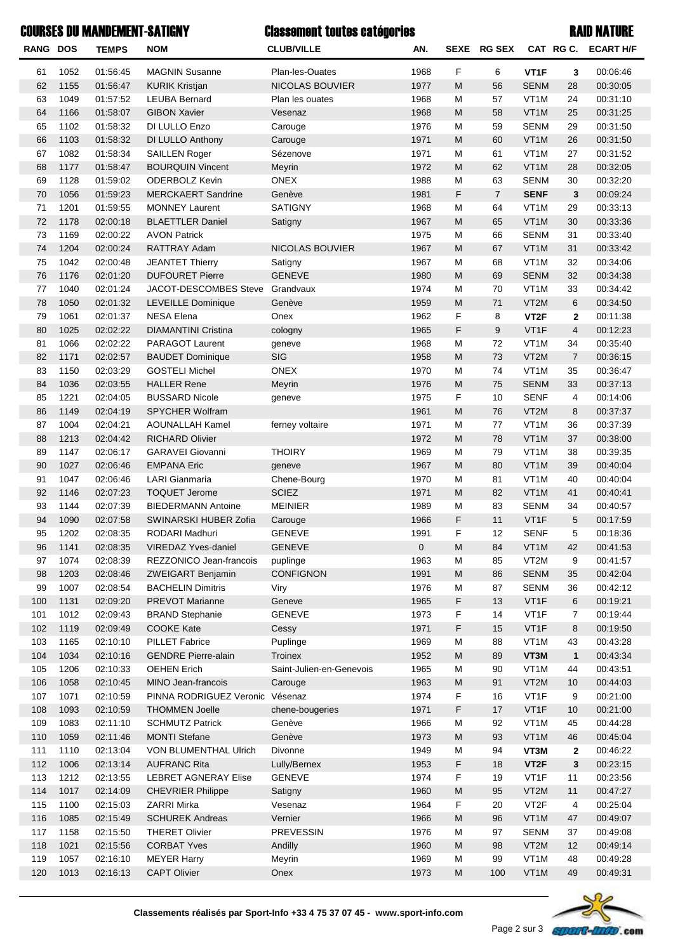| <b>COURSES DU MANDEMENT-SATIGNY</b> |      |                      |                                           | <b>Classement toutes catégories</b> |             |                                                                                                            | <b>RAID NATURE</b> |                            |                |                     |  |
|-------------------------------------|------|----------------------|-------------------------------------------|-------------------------------------|-------------|------------------------------------------------------------------------------------------------------------|--------------------|----------------------------|----------------|---------------------|--|
| RANG DOS                            |      | <b>TEMPS</b>         | <b>NOM</b>                                | <b>CLUB/VILLE</b>                   | AN.         |                                                                                                            | SEXE RG SEX        |                            |                | CAT RG C. ECART H/F |  |
| 61                                  | 1052 | 01:56:45             | <b>MAGNIN Susanne</b>                     | Plan-les-Ouates                     | 1968        | F                                                                                                          | 6                  | VT <sub>1</sub> F          | 3              | 00:06:46            |  |
| 62                                  | 1155 | 01:56:47             | <b>KURIK Kristjan</b>                     | <b>NICOLAS BOUVIER</b>              | 1977        | M                                                                                                          | 56                 | <b>SENM</b>                | 28             | 00:30:05            |  |
| 63                                  | 1049 | 01:57:52             | <b>LEUBA Bernard</b>                      | Plan les ouates                     | 1968        | м                                                                                                          | 57                 | VT <sub>1</sub> M          | 24             | 00:31:10            |  |
| 64                                  | 1166 | 01:58:07             | <b>GIBON Xavier</b>                       | Vesenaz                             | 1968        | M                                                                                                          | 58                 | VT <sub>1</sub> M          | 25             | 00:31:25            |  |
| 65                                  | 1102 | 01:58:32             | DI LULLO Enzo                             | Carouge                             | 1976        | М                                                                                                          | 59                 | <b>SENM</b>                | 29             | 00:31:50            |  |
| 66                                  | 1103 | 01:58:32             | DI LULLO Anthony                          | Carouge                             | 1971        | ${\sf M}$                                                                                                  | 60                 | VT1M                       | 26             | 00:31:50            |  |
| 67                                  | 1082 | 01:58:34             | <b>SAILLEN Roger</b>                      | Sézenove                            | 1971        | м                                                                                                          | 61                 | VT <sub>1</sub> M          | 27             | 00:31:52            |  |
| 68                                  | 1177 | 01:58:47             | <b>BOURQUIN Vincent</b>                   | Meyrin                              | 1972        | ${\sf M}$                                                                                                  | 62                 | VT1M                       | 28             | 00:32:05            |  |
| 69                                  | 1128 | 01:59:02             | <b>ODERBOLZ Kevin</b>                     | <b>ONEX</b>                         | 1988        | М                                                                                                          | 63                 | <b>SENM</b>                | 30             | 00:32:20            |  |
| 70                                  | 1056 | 01:59:23             | <b>MERCKAERT Sandrine</b>                 | Genève                              | 1981        | F                                                                                                          | $\overline{7}$     | <b>SENF</b>                | 3              | 00:09:24            |  |
| 71                                  | 1201 | 01:59:55             | <b>MONNEY Laurent</b>                     | <b>SATIGNY</b>                      | 1968        | М                                                                                                          | 64                 | VT <sub>1</sub> M          | 29             | 00:33:13            |  |
| 72                                  | 1178 | 02:00:18             | <b>BLAETTLER Daniel</b>                   | Satigny                             | 1967        | M                                                                                                          | 65                 | VT <sub>1</sub> M          | 30             | 00:33:36            |  |
| 73                                  | 1169 | 02:00:22             | <b>AVON Patrick</b>                       |                                     | 1975        | М                                                                                                          | 66                 | <b>SENM</b>                | 31             | 00:33:40            |  |
| 74                                  | 1204 | 02:00:24             | RATTRAY Adam                              | <b>NICOLAS BOUVIER</b>              | 1967        | ${\sf M}$                                                                                                  | 67                 | VT1M                       | 31             | 00:33:42            |  |
| 75                                  | 1042 | 02:00:48             | <b>JEANTET Thierry</b>                    | Satigny                             | 1967        | М                                                                                                          | 68                 | VT <sub>1</sub> M          | 32             | 00:34:06            |  |
| 76                                  | 1176 | 02:01:20             | <b>DUFOURET Pierre</b>                    | <b>GENEVE</b>                       | 1980        | ${\sf M}$                                                                                                  | 69                 | <b>SENM</b>                | 32             | 00:34:38            |  |
| 77                                  | 1040 | 02:01:24             | <b>JACOT-DESCOMBES Steve</b>              | Grandvaux                           | 1974        | М                                                                                                          | 70                 | VT <sub>1</sub> M          | 33             | 00:34:42            |  |
| 78                                  | 1050 | 02:01:32             | LEVEILLE Dominique                        | Genève                              | 1959        | ${\sf M}$                                                                                                  | 71                 | VT2M                       | 6              | 00:34:50            |  |
| 79                                  | 1061 | 02:01:37             | <b>NESA Elena</b>                         | Onex                                | 1962        | F                                                                                                          | 8                  | VT <sub>2</sub> F          | $\mathbf{2}$   | 00:11:38            |  |
| 80                                  | 1025 | 02:02:22             | <b>DIAMANTINI Cristina</b>                | cologny                             | 1965        | F                                                                                                          | 9                  | VT <sub>1</sub> F          | $\overline{4}$ | 00:12:23            |  |
| 81                                  | 1066 | 02:02:22             | <b>PARAGOT Laurent</b>                    | geneve                              | 1968        | м                                                                                                          | 72                 | VT <sub>1</sub> M          | 34             | 00:35:40            |  |
| 82                                  | 1171 | 02:02:57             | <b>BAUDET Dominique</b>                   | SIG                                 | 1958        | ${\sf M}$                                                                                                  | 73                 | VT2M                       | $\overline{7}$ | 00:36:15            |  |
| 83                                  | 1150 | 02:03:29             | <b>GOSTELI Michel</b>                     | ONEX                                | 1970        | М                                                                                                          | 74                 | VT <sub>1</sub> M          | 35             | 00:36:47            |  |
| 84                                  | 1036 | 02:03:55             | <b>HALLER Rene</b>                        | Meyrin                              | 1976        | ${\sf M}$                                                                                                  | 75                 | <b>SENM</b>                | 33             | 00:37:13            |  |
| 85                                  | 1221 | 02:04:05             | <b>BUSSARD Nicole</b>                     | geneve                              | 1975        | F                                                                                                          | 10                 | <b>SENF</b>                | 4              | 00:14:06            |  |
| 86                                  | 1149 | 02:04:19             | <b>SPYCHER Wolfram</b>                    |                                     | 1961        | ${\sf M}$                                                                                                  | 76                 | VT2M                       | 8              | 00:37:37            |  |
| 87                                  | 1004 | 02:04:21             | <b>AOUNALLAH Kamel</b>                    | ferney voltaire                     | 1971        | м                                                                                                          | 77                 | VT <sub>1</sub> M          | 36             | 00:37:39            |  |
| 88                                  | 1213 | 02:04:42             | <b>RICHARD Olivier</b>                    |                                     | 1972        | M                                                                                                          | 78                 | VT <sub>1</sub> M          | 37             | 00:38:00            |  |
| 89                                  | 1147 | 02:06:17             | <b>GARAVEI Giovanni</b>                   | <b>THOIRY</b>                       | 1969        | М                                                                                                          | 79                 | VT <sub>1</sub> M          | 38             | 00:39:35            |  |
| 90                                  | 1027 | 02:06:46             | <b>EMPANA Eric</b>                        | geneve                              | 1967        | M                                                                                                          | 80                 | VT <sub>1</sub> M          | 39             | 00:40:04            |  |
| 91                                  | 1047 | 02:06:46             | <b>LARI Gianmaria</b>                     | Chene-Bourg                         | 1970        | м                                                                                                          | 81                 | VT <sub>1</sub> M          | 40             | 00:40:04            |  |
| 92                                  | 1146 | 02:07:23             | <b>TOQUET Jerome</b>                      | <b>SCIEZ</b>                        | 1971        | M                                                                                                          | 82                 | VT1M                       | 41             | 00:40:41            |  |
| 93                                  | 1144 | 02:07:39             | <b>BIEDERMANN Antoine</b>                 | <b>MEINIER</b>                      | 1989        | М                                                                                                          | 83                 | <b>SENM</b>                | 34             | 00:40:57            |  |
| 94                                  | 1090 | 02:07:58             | SWINARSKI HUBER Zofia                     | Carouge                             | 1966        | F                                                                                                          | 11                 | VT1F                       | 5              | 00:17:59            |  |
|                                     | 1202 | 02:08:35             | RODARI Madhuri                            | <b>GENEVE</b>                       | 1991        | F                                                                                                          | 12                 | <b>SENF</b>                | 5              | 00:18:36            |  |
| 95<br>96                            | 1141 | 02:08:35             | <b>VIREDAZ Yves-daniel</b>                | <b>GENEVE</b>                       | $\mathbf 0$ | ${\sf M}$                                                                                                  | 84                 | VT1M                       | 42             | 00:41:53            |  |
|                                     |      |                      | REZZONICO Jean-francois                   |                                     |             |                                                                                                            |                    |                            |                |                     |  |
| 97                                  | 1074 | 02:08:39             |                                           | puplinge<br><b>CONFIGNON</b>        | 1963        | M                                                                                                          | 85                 | VT2M                       | 9              | 00:41:57            |  |
| 98                                  | 1203 | 02:08:46             | <b>ZWEIGART Benjamin</b>                  |                                     | 1991        | $\mathsf{M}% _{T}=\mathsf{M}_{T}\!\left( a,b\right) ,\ \mathsf{M}_{T}=\mathsf{M}_{T}\!\left( a,b\right) ,$ | 86                 | <b>SENM</b><br><b>SENM</b> | 35             | 00:42:04            |  |
| 99                                  | 1007 | 02:08:54             | <b>BACHELIN Dimitris</b>                  | Viry                                | 1976        | м                                                                                                          | 87                 |                            | 36             | 00:42:12            |  |
| 100                                 | 1131 | 02:09:20<br>02:09:43 | PREVOT Marianne<br><b>BRAND Stephanie</b> | Geneve<br><b>GENEVE</b>             | 1965        | F                                                                                                          | 13                 | VT1F<br>VT <sub>1</sub> F  | 6              | 00:19:21            |  |
| 101                                 | 1012 |                      |                                           |                                     | 1973        | F                                                                                                          | 14                 |                            | 7              | 00:19:44            |  |
| 102                                 | 1119 | 02:09:49             | <b>COOKE Kate</b>                         | Cessy                               | 1971        | F                                                                                                          | 15                 | VT1F                       | 8              | 00:19:50            |  |
| 103                                 | 1165 | 02:10:10             | PILLET Fabrice                            | Puplinge                            | 1969        | м                                                                                                          | 88                 | VT1M                       | 43             | 00:43:28            |  |
| 104                                 | 1034 | 02:10:16             | <b>GENDRE Pierre-alain</b>                | Troinex                             | 1952        | $\mathsf{M}% _{T}=\mathsf{M}_{T}\!\left( a,b\right) ,\ \mathsf{M}_{T}=\mathsf{M}_{T}\!\left( a,b\right) ,$ | 89                 | VT3M                       | $\mathbf{1}$   | 00:43:34            |  |
| 105                                 | 1206 | 02:10:33             | <b>OEHEN Erich</b>                        | Saint-Julien-en-Genevois            | 1965        | м                                                                                                          | 90                 | VT1M                       | 44             | 00:43:51            |  |
| 106                                 | 1058 | 02:10:45             | MINO Jean-francois                        | Carouge                             | 1963        | $\mathsf{M}% _{T}=\mathsf{M}_{T}\!\left( a,b\right) ,\ \mathsf{M}_{T}=\mathsf{M}_{T}\!\left( a,b\right) ,$ | 91                 | VT2M                       | 10             | 00:44:03            |  |
| 107                                 | 1071 | 02:10:59             | PINNA RODRIGUEZ Veronic Vésenaz           |                                     | 1974        | F                                                                                                          | 16                 | VT <sub>1</sub> F          | 9              | 00:21:00            |  |
| 108                                 | 1093 | 02:10:59             | <b>THOMMEN Joelle</b>                     | chene-bougeries                     | 1971        | F                                                                                                          | 17                 | VT1F                       | 10             | 00:21:00            |  |
| 109                                 | 1083 | 02:11:10             | <b>SCHMUTZ Patrick</b>                    | Genève                              | 1966        | м                                                                                                          | 92                 | VT1M                       | 45             | 00:44:28            |  |
| 110                                 | 1059 | 02:11:46             | <b>MONTI Stefane</b>                      | Genève                              | 1973        | $\mathsf{M}% _{T}=\mathsf{M}_{T}\!\left( a,b\right) ,\ \mathsf{M}_{T}=\mathsf{M}_{T}\!\left( a,b\right) ,$ | 93                 | VT1M                       | 46             | 00:45:04            |  |
| 111                                 | 1110 | 02:13:04             | VON BLUMENTHAL Ulrich                     | Divonne                             | 1949        | м                                                                                                          | 94                 | VT3M                       | $\mathbf{2}$   | 00:46:22            |  |
| 112                                 | 1006 | 02:13:14             | <b>AUFRANC Rita</b>                       | Lully/Bernex                        | 1953        | F                                                                                                          | 18                 | VT <sub>2</sub> F          | 3              | 00:23:15            |  |
| 113                                 | 1212 | 02:13:55             | <b>LEBRET AGNERAY Elise</b>               | <b>GENEVE</b>                       | 1974        | F                                                                                                          | 19                 | VT1F                       | 11             | 00:23:56            |  |
| 114                                 | 1017 | 02:14:09             | <b>CHEVRIER Philippe</b>                  | Satigny                             | 1960        | $\mathsf{M}% _{T}=\mathsf{M}_{T}\!\left( a,b\right) ,\ \mathsf{M}_{T}=\mathsf{M}_{T}\!\left( a,b\right) ,$ | 95                 | VT2M                       | 11             | 00:47:27            |  |
| 115                                 | 1100 | 02:15:03             | <b>ZARRI Mirka</b>                        | Vesenaz                             | 1964        | F                                                                                                          | 20                 | VT <sub>2</sub> F          | 4              | 00:25:04            |  |
| 116                                 | 1085 | 02:15:49             | <b>SCHUREK Andreas</b>                    | Vernier                             | 1966        | $\mathsf{M}% _{T}=\mathsf{M}_{T}\!\left( a,b\right) ,\ \mathsf{M}_{T}=\mathsf{M}_{T}\!\left( a,b\right) ,$ | 96                 | VT1M                       | 47             | 00:49:07            |  |
| 117                                 | 1158 | 02:15:50             | <b>THERET Olivier</b>                     | <b>PREVESSIN</b>                    | 1976        | M                                                                                                          | 97                 | <b>SENM</b>                | 37             | 00:49:08            |  |
| 118                                 | 1021 | 02:15:56             | <b>CORBAT Yves</b>                        | Andilly                             | 1960        | M                                                                                                          | 98                 | VT2M                       | 12             | 00:49:14            |  |



119 1057 02:16:10 MEYER Harry Meyrin Meyrin 1969 M 99 VT1M 48 00:49:28 120 1013 02:16:10 MEYER Harry Meyrin 20 120 1013 02:16:13 CAPT Olivier Onex 1973 M 00:49:31 100 VT1M 49